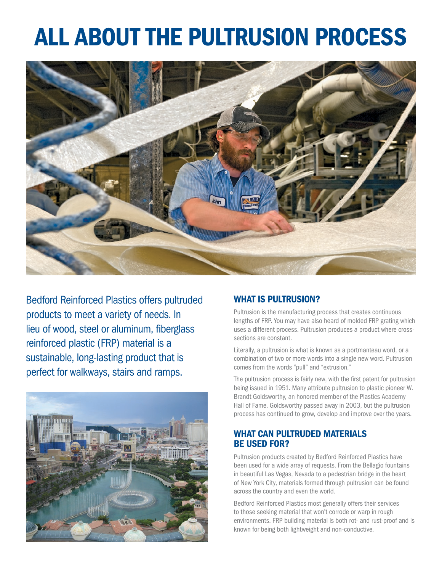# ALL ABOUT THE PULTRUSION PROCESS



Bedford Reinforced Plastics offers pultruded products to meet a variety of needs. In lieu of wood, steel or aluminum, fiberglass reinforced plastic (FRP) material is a sustainable, long-lasting product that is perfect for walkways, stairs and ramps.



# WHAT IS PULTRUSION?

Pultrusion is the manufacturing process that creates continuous lengths of FRP. You may have also heard of molded FRP grating which uses a different process. Pultrusion produces a product where crosssections are constant.

Literally, a pultrusion is what is known as a portmanteau word, or a combination of two or more words into a single new word. Pultrusion comes from the words "pull" and "extrusion."

The pultrusion process is fairly new, with the first patent for pultrusion being issued in 1951. Many attribute pultrusion to plastic pioneer W. Brandt Goldsworthy, an honored member of the Plastics Academy Hall of Fame. Goldsworthy passed away in 2003, but the pultrusion process has continued to grow, develop and improve over the years.

### WHAT CAN PULTRUDED MATERIALS BE USED FOR?

Pultrusion products created by Bedford Reinforced Plastics have been used for a wide array of requests. From the Bellagio fountains in beautiful Las Vegas, Nevada to a pedestrian bridge in the heart of New York City, materials formed through pultrusion can be found across the country and even the world.

Bedford Reinforced Plastics most generally offers their services to those seeking material that won't corrode or warp in rough environments. FRP building material is both rot- and rust-proof and is known for being both lightweight and non-conductive.